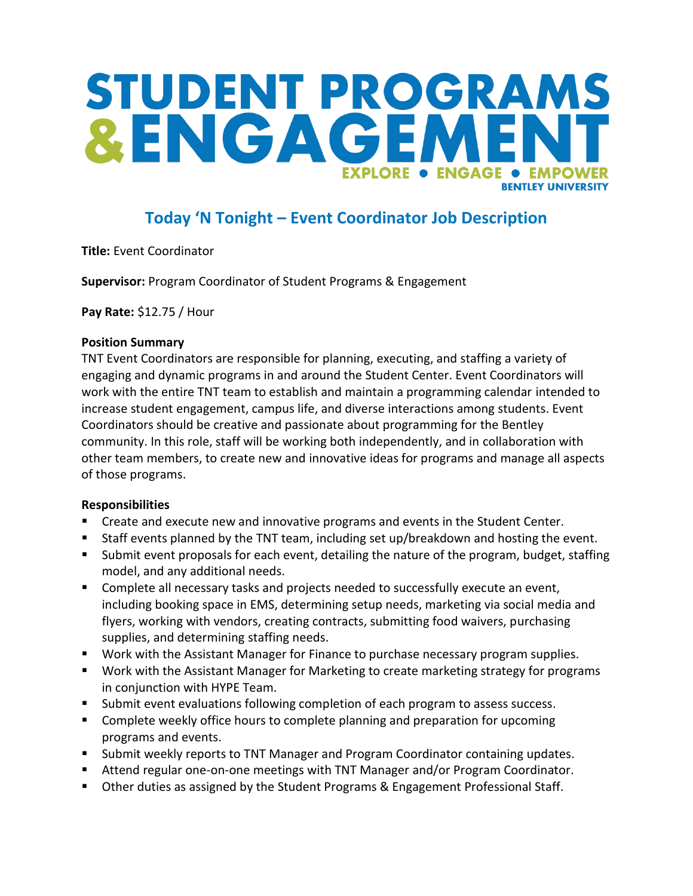# STUDENT PROGRAMS &ENGAGEA **EXPLORE . ENGAGE** • EMPOWER **RENTI EY UNIVERSITY**

## **Today 'N Tonight – Event Coordinator Job Description**

**Title:** Event Coordinator

**Supervisor:** Program Coordinator of Student Programs & Engagement

**Pay Rate:** \$12.75 / Hour

#### **Position Summary**

TNT Event Coordinators are responsible for planning, executing, and staffing a variety of engaging and dynamic programs in and around the Student Center. Event Coordinators will work with the entire TNT team to establish and maintain a programming calendar intended to increase student engagement, campus life, and diverse interactions among students. Event Coordinators should be creative and passionate about programming for the Bentley community. In this role, staff will be working both independently, and in collaboration with other team members, to create new and innovative ideas for programs and manage all aspects of those programs.

#### **Responsibilities**

- Create and execute new and innovative programs and events in the Student Center.
- Staff events planned by the TNT team, including set up/breakdown and hosting the event.
- Submit event proposals for each event, detailing the nature of the program, budget, staffing model, and any additional needs.
- Complete all necessary tasks and projects needed to successfully execute an event, including booking space in EMS, determining setup needs, marketing via social media and flyers, working with vendors, creating contracts, submitting food waivers, purchasing supplies, and determining staffing needs.
- Work with the Assistant Manager for Finance to purchase necessary program supplies.
- Work with the Assistant Manager for Marketing to create marketing strategy for programs in conjunction with HYPE Team.
- Submit event evaluations following completion of each program to assess success.
- **Complete weekly office hours to complete planning and preparation for upcoming** programs and events.
- Submit weekly reports to TNT Manager and Program Coordinator containing updates.
- Attend regular one-on-one meetings with TNT Manager and/or Program Coordinator.
- **D** Other duties as assigned by the Student Programs & Engagement Professional Staff.